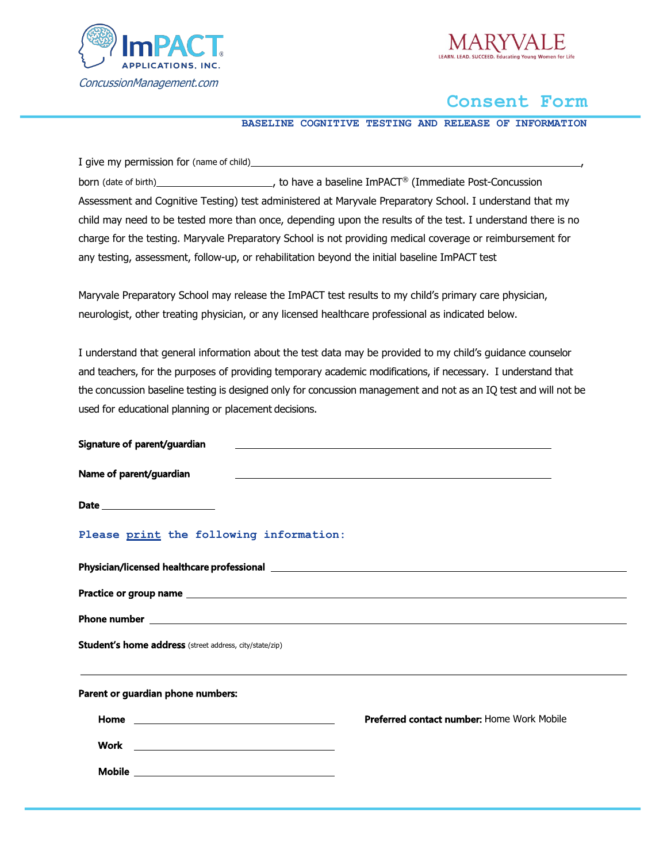



# **Consent Form**

**BASELINE COGNITIVE TESTING AND RELEASE OF INFORMATION**

I give my permission for (name of child)\_\_ born (date of birth) , to have a baseline ImPACT® (Immediate Post-Concussion Assessment and Cognitive Testing) test administered at Maryvale Preparatory School. I understand that my child may need to be tested more than once, depending upon the results of the test. I understand there is no charge for the testing. Maryvale Preparatory School is not providing medical coverage or reimbursement for any testing, assessment, follow-up, or rehabilitation beyond the initial baseline ImPACT test

Maryvale Preparatory School may release the ImPACT test results to my child's primary care physician, neurologist, other treating physician, or any licensed healthcare professional as indicated below.

I understand that general information about the test data may be provided to my child's guidance counselor and teachers, for the purposes of providing temporary academic modifications, if necessary. I understand that the concussion baseline testing is designed only for concussion management and not as an IQ test and will not be used for educational planning or placement decisions.

| Signature of parent/guardian                                   |                                                                                                                  |  |
|----------------------------------------------------------------|------------------------------------------------------------------------------------------------------------------|--|
| Name of parent/guardian                                        | and the control of the control of the control of the control of the control of the control of the control of the |  |
| Date ________________________                                  |                                                                                                                  |  |
| Please print the following information:                        |                                                                                                                  |  |
|                                                                |                                                                                                                  |  |
|                                                                |                                                                                                                  |  |
|                                                                |                                                                                                                  |  |
| <b>Student's home address</b> (street address, city/state/zip) |                                                                                                                  |  |
| Parent or guardian phone numbers:                              |                                                                                                                  |  |
|                                                                | Preferred contact number: Home Work Mobile                                                                       |  |
|                                                                |                                                                                                                  |  |
|                                                                |                                                                                                                  |  |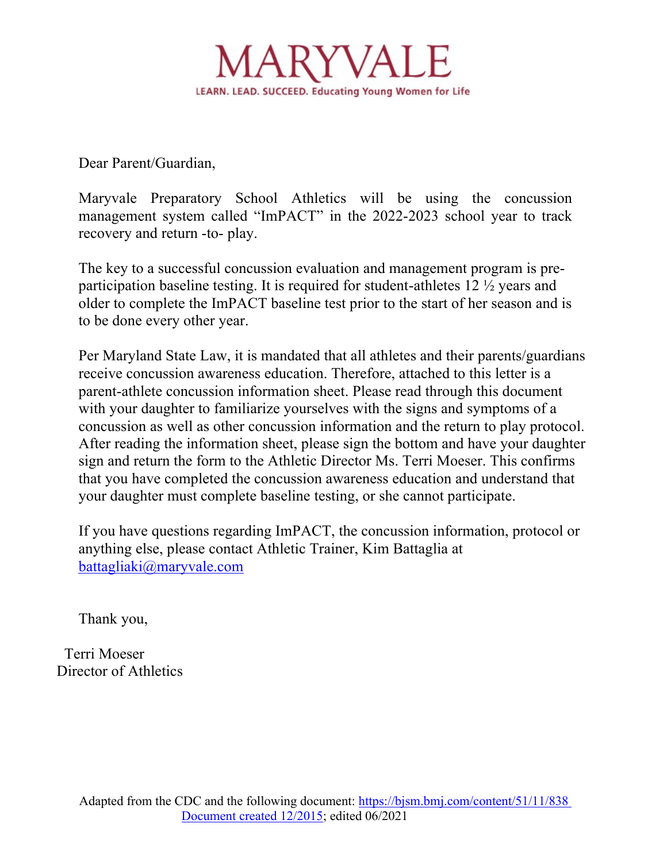

Dear Parent/Guardian,

Maryvale Preparatory School Athletics will be using the concussion management system called "ImPACT" in the 2022-2023 school year to track recovery and return -to- play.

The key to a successful concussion evaluation and management program is preparticipation baseline testing. It is required for student-athletes 12 ½ years and older to complete the ImPACT baseline test prior to the start of her season and is to be done every other year.

Per Maryland State Law, it is mandated that all athletes and their parents/guardians receive concussion awareness education. Therefore, attached to this letter is a parent-athlete concussion information sheet. Please read through this document with your daughter to familiarize yourselves with the signs and symptoms of a concussion as well as other concussion information and the return to play protocol. After reading the information sheet, please sign the bottom and have your daughter sign and return the form to the Athletic Director Ms. Terri Moeser. This confirms that you have completed the concussion awareness education and understand that your daughter must complete baseline testing, or she cannot participate.

If you have questions regarding ImPACT, the concussion information, protocol or anything else, please contact Athletic Trainer, Kim Battaglia at battagliaki@maryvale.com

Thank you,

 Terri Moeser Director of Athletics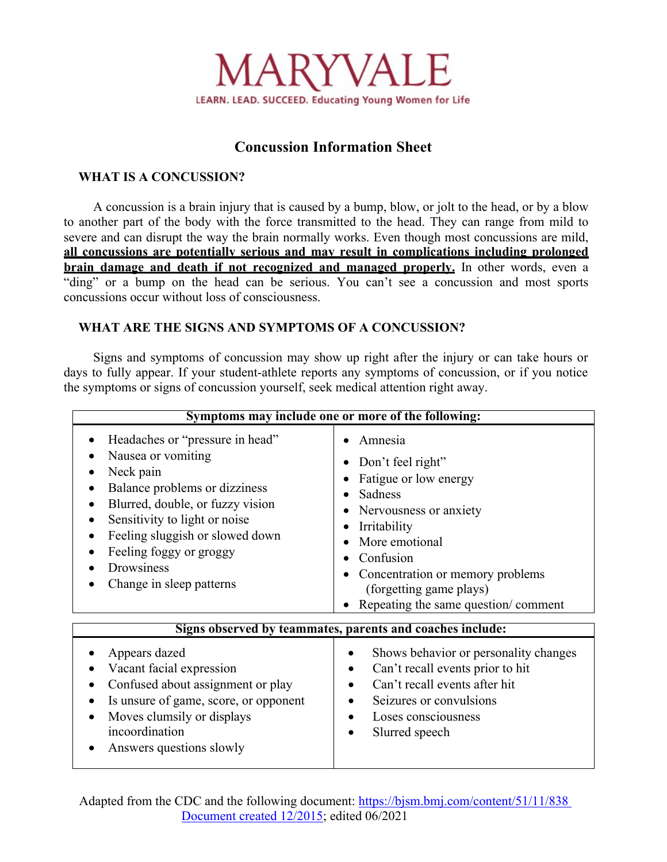

# **Concussion Information Sheet**

## **WHAT IS A CONCUSSION?**

A concussion is a brain injury that is caused by a bump, blow, or jolt to the head, or by a blow to another part of the body with the force transmitted to the head. They can range from mild to severe and can disrupt the way the brain normally works. Even though most concussions are mild, **all concussions are potentially serious and may result in complications including prolonged brain damage and death if not recognized and managed properly.** In other words, even a "ding" or a bump on the head can be serious. You can't see a concussion and most sports concussions occur without loss of consciousness.

## **WHAT ARE THE SIGNS AND SYMPTOMS OF A CONCUSSION?**

Signs and symptoms of concussion may show up right after the injury or can take hours or days to fully appear. If your student-athlete reports any symptoms of concussion, or if you notice the symptoms or signs of concussion yourself, seek medical attention right away.

| Symptoms may include one or more of the following:                                                                                                                                                                                                                                            |                                                                                                                                                                                                                                                 |  |
|-----------------------------------------------------------------------------------------------------------------------------------------------------------------------------------------------------------------------------------------------------------------------------------------------|-------------------------------------------------------------------------------------------------------------------------------------------------------------------------------------------------------------------------------------------------|--|
| Headaches or "pressure in head"<br>Nausea or vomiting<br>Neck pain<br>Balance problems or dizziness<br>Blurred, double, or fuzzy vision<br>$\bullet$<br>Sensitivity to light or noise<br>Feeling sluggish or slowed down<br>Feeling foggy or groggy<br>Drowsiness<br>Change in sleep patterns | Amnesia<br>Don't feel right"<br>Fatigue or low energy<br>Sadness<br>Nervousness or anxiety<br>Irritability<br>More emotional<br>Confusion<br>Concentration or memory problems<br>(forgetting game plays)<br>Repeating the same question/comment |  |
| Signs observed by teammates, parents and coaches include:                                                                                                                                                                                                                                     |                                                                                                                                                                                                                                                 |  |
| Appears dazed<br>Vacant facial expression<br>Confused about assignment or play<br>Is unsure of game, score, or opponent<br>Moves clumsily or displays<br>incoordination<br>Answers questions slowly                                                                                           | Shows behavior or personality changes<br>Can't recall events prior to hit<br>Can't recall events after hit<br>Seizures or convulsions<br>Loses consciousness<br>Slurred speech                                                                  |  |

Adapted from the CDC and the following document: https://bjsm.bmj.com/content/51/11/838 Document created 12/2015; edited 06/2021